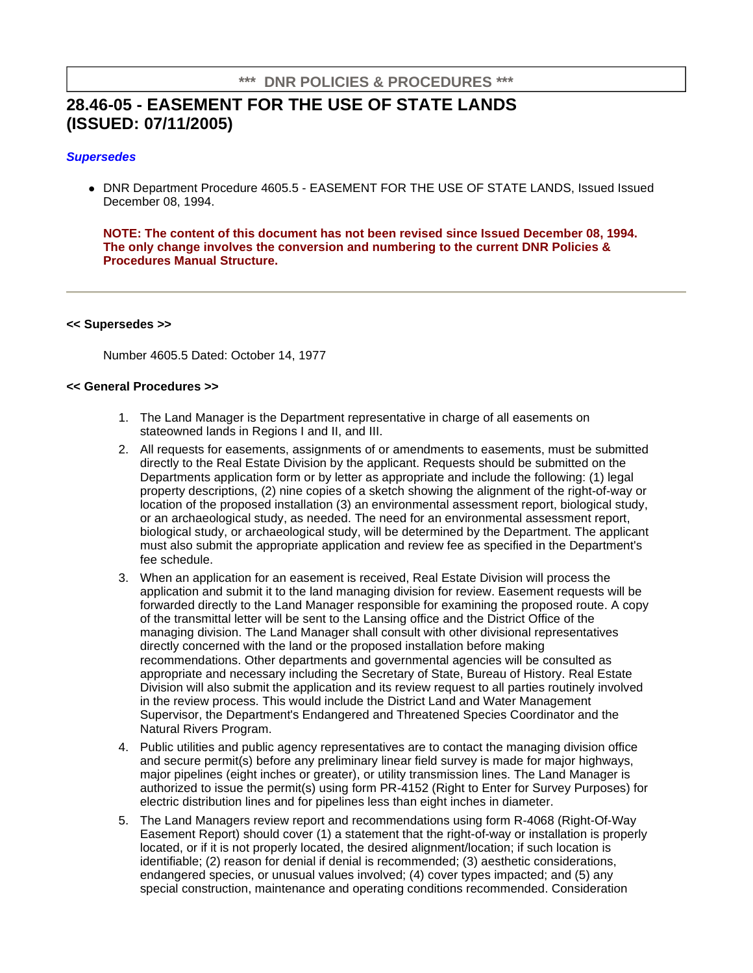## **\*\*\* DNR POLICIES & PROCEDURES \*\*\***

# **28.46-05 - EASEMENT FOR THE USE OF STATE LANDS (ISSUED: 07/11/2005)**

## **Supersedes**

 DNR Department Procedure 4605.5 - EASEMENT FOR THE USE OF STATE LANDS, Issued Issued December 08, 1994.

**NOTE: The content of this document has not been revised since Issued December 08, 1994. The only change involves the conversion and numbering to the current DNR Policies & Procedures Manual Structure.**

#### **<< Supersedes >>**

Number 4605.5 Dated: October 14, 1977

#### **<< General Procedures >>**

- 1. The Land Manager is the Department representative in charge of all easements on stateowned lands in Regions I and II, and III.
- 2. All requests for easements, assignments of or amendments to easements, must be submitted directly to the Real Estate Division by the applicant. Requests should be submitted on the Departments application form or by letter as appropriate and include the following: (1) legal property descriptions, (2) nine copies of a sketch showing the alignment of the right-of-way or location of the proposed installation (3) an environmental assessment report, biological study, or an archaeological study, as needed. The need for an environmental assessment report, biological study, or archaeological study, will be determined by the Department. The applicant must also submit the appropriate application and review fee as specified in the Department's fee schedule.
- 3. When an application for an easement is received, Real Estate Division will process the application and submit it to the land managing division for review. Easement requests will be forwarded directly to the Land Manager responsible for examining the proposed route. A copy of the transmittal letter will be sent to the Lansing office and the District Office of the managing division. The Land Manager shall consult with other divisional representatives directly concerned with the land or the proposed installation before making recommendations. Other departments and governmental agencies will be consulted as appropriate and necessary including the Secretary of State, Bureau of History. Real Estate Division will also submit the application and its review request to all parties routinely involved in the review process. This would include the District Land and Water Management Supervisor, the Department's Endangered and Threatened Species Coordinator and the Natural Rivers Program.
- 4. Public utilities and public agency representatives are to contact the managing division office and secure permit(s) before any preliminary linear field survey is made for major highways, major pipelines (eight inches or greater), or utility transmission lines. The Land Manager is authorized to issue the permit(s) using form PR-4152 (Right to Enter for Survey Purposes) for electric distribution lines and for pipelines less than eight inches in diameter.
- 5. The Land Managers review report and recommendations using form R-4068 (Right-Of-Way Easement Report) should cover (1) a statement that the right-of-way or installation is properly located, or if it is not properly located, the desired alignment/location; if such location is identifiable; (2) reason for denial if denial is recommended; (3) aesthetic considerations, endangered species, or unusual values involved; (4) cover types impacted; and (5) any special construction, maintenance and operating conditions recommended. Consideration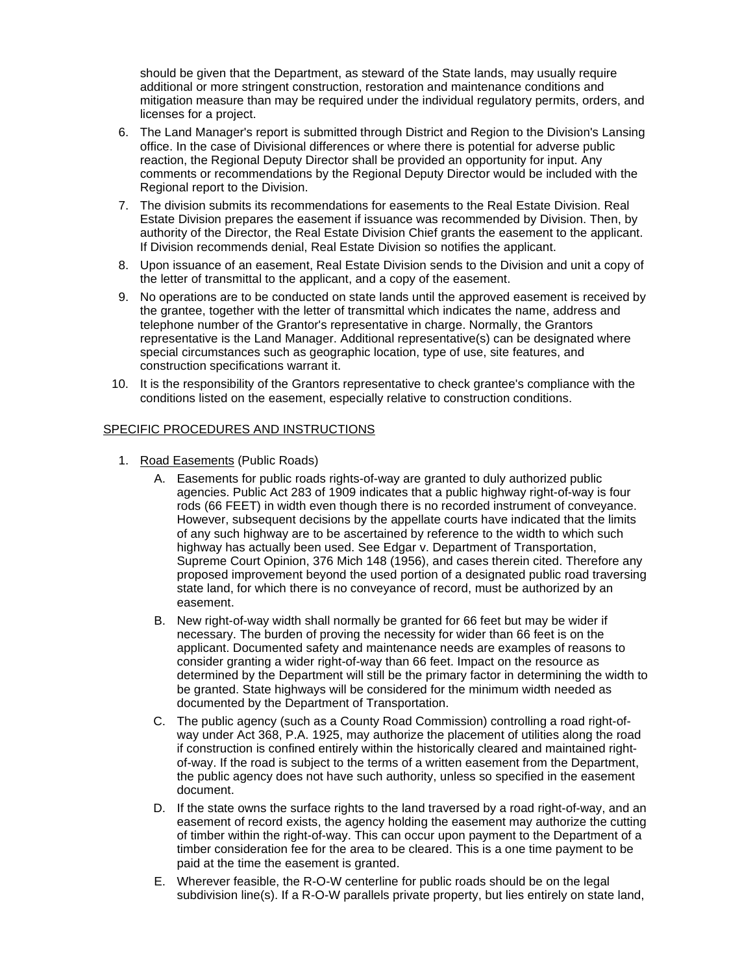should be given that the Department, as steward of the State lands, may usually require additional or more stringent construction, restoration and maintenance conditions and mitigation measure than may be required under the individual regulatory permits, orders, and licenses for a project.

- 6. The Land Manager's report is submitted through District and Region to the Division's Lansing office. In the case of Divisional differences or where there is potential for adverse public reaction, the Regional Deputy Director shall be provided an opportunity for input. Any comments or recommendations by the Regional Deputy Director would be included with the Regional report to the Division.
- 7. The division submits its recommendations for easements to the Real Estate Division. Real Estate Division prepares the easement if issuance was recommended by Division. Then, by authority of the Director, the Real Estate Division Chief grants the easement to the applicant. If Division recommends denial, Real Estate Division so notifies the applicant.
- 8. Upon issuance of an easement, Real Estate Division sends to the Division and unit a copy of the letter of transmittal to the applicant, and a copy of the easement.
- 9. No operations are to be conducted on state lands until the approved easement is received by the grantee, together with the letter of transmittal which indicates the name, address and telephone number of the Grantor's representative in charge. Normally, the Grantors representative is the Land Manager. Additional representative(s) can be designated where special circumstances such as geographic location, type of use, site features, and construction specifications warrant it.
- 10. It is the responsibility of the Grantors representative to check grantee's compliance with the conditions listed on the easement, especially relative to construction conditions.

## SPECIFIC PROCEDURES AND INSTRUCTIONS

- 1. Road Easements (Public Roads)
	- A. Easements for public roads rights-of-way are granted to duly authorized public agencies. Public Act 283 of 1909 indicates that a public highway right-of-way is four rods (66 FEET) in width even though there is no recorded instrument of conveyance. However, subsequent decisions by the appellate courts have indicated that the limits of any such highway are to be ascertained by reference to the width to which such highway has actually been used. See Edgar v. Department of Transportation, Supreme Court Opinion, 376 Mich 148 (1956), and cases therein cited. Therefore any proposed improvement beyond the used portion of a designated public road traversing state land, for which there is no conveyance of record, must be authorized by an easement.
	- B. New right-of-way width shall normally be granted for 66 feet but may be wider if necessary. The burden of proving the necessity for wider than 66 feet is on the applicant. Documented safety and maintenance needs are examples of reasons to consider granting a wider right-of-way than 66 feet. Impact on the resource as determined by the Department will still be the primary factor in determining the width to be granted. State highways will be considered for the minimum width needed as documented by the Department of Transportation.
	- C. The public agency (such as a County Road Commission) controlling a road right-ofway under Act 368, P.A. 1925, may authorize the placement of utilities along the road if construction is confined entirely within the historically cleared and maintained rightof-way. If the road is subject to the terms of a written easement from the Department, the public agency does not have such authority, unless so specified in the easement document.
	- D. If the state owns the surface rights to the land traversed by a road right-of-way, and an easement of record exists, the agency holding the easement may authorize the cutting of timber within the right-of-way. This can occur upon payment to the Department of a timber consideration fee for the area to be cleared. This is a one time payment to be paid at the time the easement is granted.
	- E. Wherever feasible, the R-O-W centerline for public roads should be on the legal subdivision line(s). If a R-O-W parallels private property, but lies entirely on state land,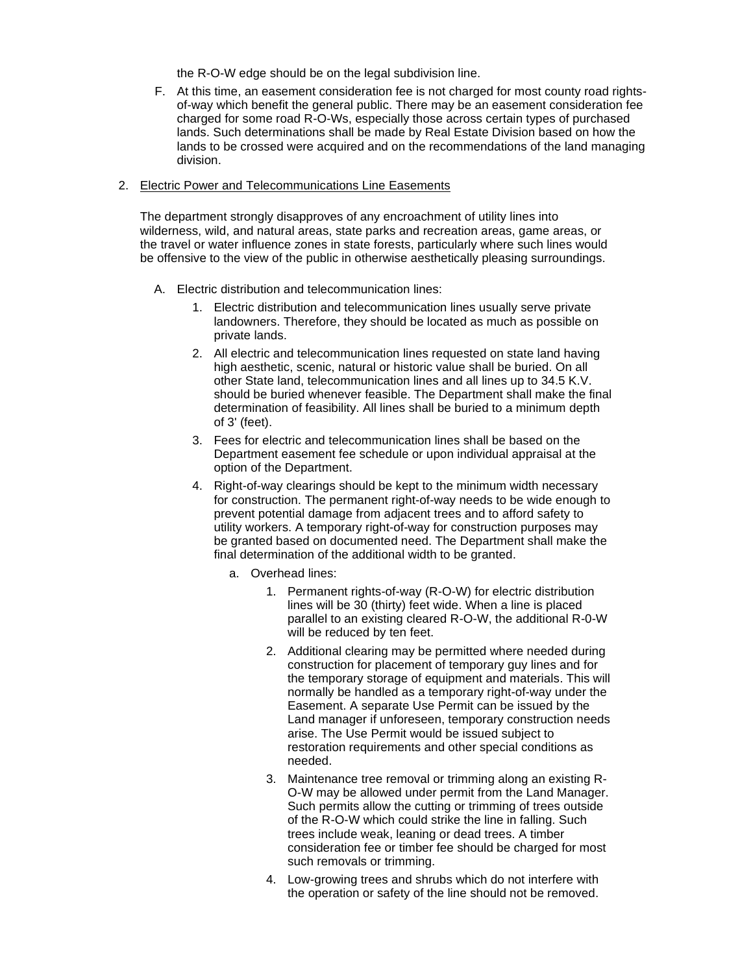the R-O-W edge should be on the legal subdivision line.

F. At this time, an easement consideration fee is not charged for most county road rightsof-way which benefit the general public. There may be an easement consideration fee charged for some road R-O-Ws, especially those across certain types of purchased lands. Such determinations shall be made by Real Estate Division based on how the lands to be crossed were acquired and on the recommendations of the land managing division.

## 2. Electric Power and Telecommunications Line Easements

The department strongly disapproves of any encroachment of utility lines into wilderness, wild, and natural areas, state parks and recreation areas, game areas, or the travel or water influence zones in state forests, particularly where such lines would be offensive to the view of the public in otherwise aesthetically pleasing surroundings.

- A. Electric distribution and telecommunication lines:
	- 1. Electric distribution and telecommunication lines usually serve private landowners. Therefore, they should be located as much as possible on private lands.
	- 2. All electric and telecommunication lines requested on state land having high aesthetic, scenic, natural or historic value shall be buried. On all other State land, telecommunication lines and all lines up to 34.5 K.V. should be buried whenever feasible. The Department shall make the final determination of feasibility. All lines shall be buried to a minimum depth of 3' (feet).
	- 3. Fees for electric and telecommunication lines shall be based on the Department easement fee schedule or upon individual appraisal at the option of the Department.
	- 4. Right-of-way clearings should be kept to the minimum width necessary for construction. The permanent right-of-way needs to be wide enough to prevent potential damage from adjacent trees and to afford safety to utility workers. A temporary right-of-way for construction purposes may be granted based on documented need. The Department shall make the final determination of the additional width to be granted.
		- a. Overhead lines:
			- 1. Permanent rights-of-way (R-O-W) for electric distribution lines will be 30 (thirty) feet wide. When a line is placed parallel to an existing cleared R-O-W, the additional R-0-W will be reduced by ten feet.
			- 2. Additional clearing may be permitted where needed during construction for placement of temporary guy lines and for the temporary storage of equipment and materials. This will normally be handled as a temporary right-of-way under the Easement. A separate Use Permit can be issued by the Land manager if unforeseen, temporary construction needs arise. The Use Permit would be issued subject to restoration requirements and other special conditions as needed.
			- 3. Maintenance tree removal or trimming along an existing R-O-W may be allowed under permit from the Land Manager. Such permits allow the cutting or trimming of trees outside of the R-O-W which could strike the line in falling. Such trees include weak, leaning or dead trees. A timber consideration fee or timber fee should be charged for most such removals or trimming.
			- 4. Low-growing trees and shrubs which do not interfere with the operation or safety of the line should not be removed.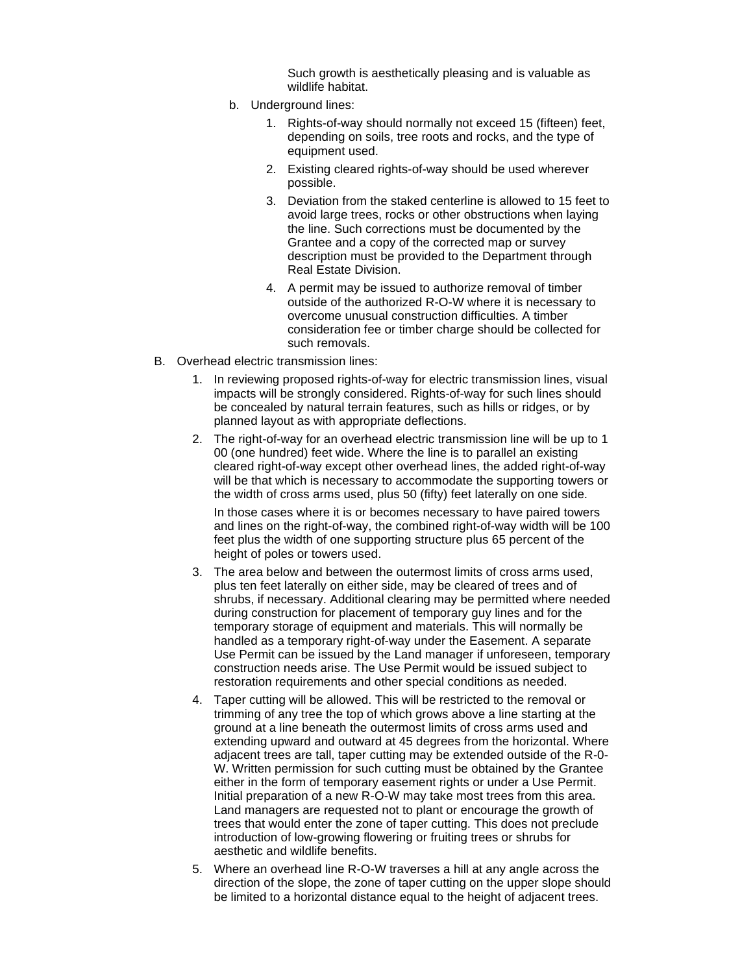Such growth is aesthetically pleasing and is valuable as wildlife habitat.

- b. Underground lines:
	- 1. Rights-of-way should normally not exceed 15 (fifteen) feet, depending on soils, tree roots and rocks, and the type of equipment used.
	- 2. Existing cleared rights-of-way should be used wherever possible.
	- 3. Deviation from the staked centerline is allowed to 15 feet to avoid large trees, rocks or other obstructions when laying the line. Such corrections must be documented by the Grantee and a copy of the corrected map or survey description must be provided to the Department through Real Estate Division.
	- 4. A permit may be issued to authorize removal of timber outside of the authorized R-O-W where it is necessary to overcome unusual construction difficulties. A timber consideration fee or timber charge should be collected for such removals.
- B. Overhead electric transmission lines:
	- 1. In reviewing proposed rights-of-way for electric transmission lines, visual impacts will be strongly considered. Rights-of-way for such lines should be concealed by natural terrain features, such as hills or ridges, or by planned layout as with appropriate deflections.
	- 2. The right-of-way for an overhead electric transmission line will be up to 1 00 (one hundred) feet wide. Where the line is to parallel an existing cleared right-of-way except other overhead lines, the added right-of-way will be that which is necessary to accommodate the supporting towers or the width of cross arms used, plus 50 (fifty) feet laterally on one side.

In those cases where it is or becomes necessary to have paired towers and lines on the right-of-way, the combined right-of-way width will be 100 feet plus the width of one supporting structure plus 65 percent of the height of poles or towers used.

- 3. The area below and between the outermost limits of cross arms used, plus ten feet laterally on either side, may be cleared of trees and of shrubs, if necessary. Additional clearing may be permitted where needed during construction for placement of temporary guy lines and for the temporary storage of equipment and materials. This will normally be handled as a temporary right-of-way under the Easement. A separate Use Permit can be issued by the Land manager if unforeseen, temporary construction needs arise. The Use Permit would be issued subject to restoration requirements and other special conditions as needed.
- 4. Taper cutting will be allowed. This will be restricted to the removal or trimming of any tree the top of which grows above a line starting at the ground at a line beneath the outermost limits of cross arms used and extending upward and outward at 45 degrees from the horizontal. Where adjacent trees are tall, taper cutting may be extended outside of the R-0- W. Written permission for such cutting must be obtained by the Grantee either in the form of temporary easement rights or under a Use Permit. Initial preparation of a new R-O-W may take most trees from this area. Land managers are requested not to plant or encourage the growth of trees that would enter the zone of taper cutting. This does not preclude introduction of low-growing flowering or fruiting trees or shrubs for aesthetic and wildlife benefits.
- 5. Where an overhead line R-O-W traverses a hill at any angle across the direction of the slope, the zone of taper cutting on the upper slope should be limited to a horizontal distance equal to the height of adjacent trees.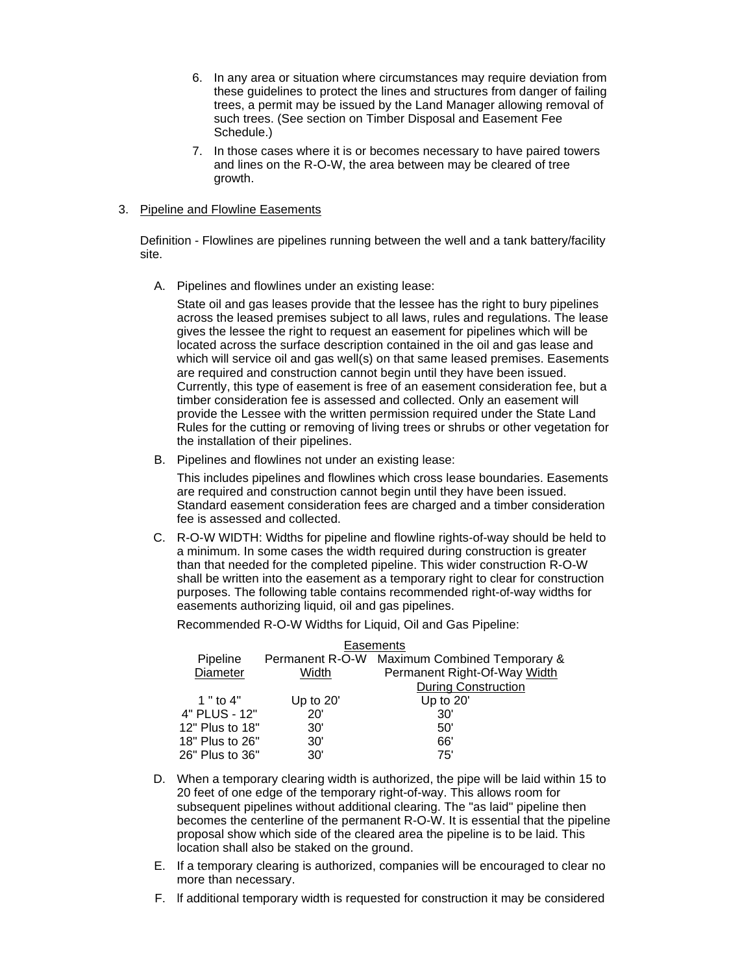- 6. In any area or situation where circumstances may require deviation from these guidelines to protect the lines and structures from danger of failing trees, a permit may be issued by the Land Manager allowing removal of such trees. (See section on Timber Disposal and Easement Fee Schedule.)
- 7. In those cases where it is or becomes necessary to have paired towers and lines on the R-O-W, the area between may be cleared of tree growth.

## 3. Pipeline and Flowline Easements

Definition - Flowlines are pipelines running between the well and a tank battery/facility site.

A. Pipelines and flowlines under an existing lease:

State oil and gas leases provide that the lessee has the right to bury pipelines across the leased premises subject to all laws, rules and regulations. The lease gives the lessee the right to request an easement for pipelines which will be located across the surface description contained in the oil and gas lease and which will service oil and gas well(s) on that same leased premises. Easements are required and construction cannot begin until they have been issued. Currently, this type of easement is free of an easement consideration fee, but a timber consideration fee is assessed and collected. Only an easement will provide the Lessee with the written permission required under the State Land Rules for the cutting or removing of living trees or shrubs or other vegetation for the installation of their pipelines.

B. Pipelines and flowlines not under an existing lease:

This includes pipelines and flowlines which cross lease boundaries. Easements are required and construction cannot begin until they have been issued. Standard easement consideration fees are charged and a timber consideration fee is assessed and collected.

C. R-O-W WIDTH: Widths for pipeline and flowline rights-of-way should be held to a minimum. In some cases the width required during construction is greater than that needed for the completed pipeline. This wider construction R-O-W shall be written into the easement as a temporary right to clear for construction purposes. The following table contains recommended right-of-way widths for easements authorizing liquid, oil and gas pipelines.

Recommended R-O-W Widths for Liquid, Oil and Gas Pipeline:

| Easements       |           |                                              |
|-----------------|-----------|----------------------------------------------|
| Pipeline        |           | Permanent R-O-W Maximum Combined Temporary & |
| Diameter        | Width     | Permanent Right-Of-Way Width                 |
|                 |           | <b>During Construction</b>                   |
| 1 " to $4"$     | Up to 20' | Up to 20'                                    |
| 4" PLUS - 12"   | 20'       | 30'                                          |
| 12" Plus to 18" | 30'       | 50'                                          |
| 18" Plus to 26" | 30'       | 66'                                          |
| 26" Plus to 36" | 30'       | 75'                                          |

- D. When a temporary clearing width is authorized, the pipe will be laid within 15 to 20 feet of one edge of the temporary right-of-way. This allows room for subsequent pipelines without additional clearing. The "as laid" pipeline then becomes the centerline of the permanent R-O-W. It is essential that the pipeline proposal show which side of the cleared area the pipeline is to be laid. This location shall also be staked on the ground.
- E. If a temporary clearing is authorized, companies will be encouraged to clear no more than necessary.
- F. lf additional temporary width is requested for construction it may be considered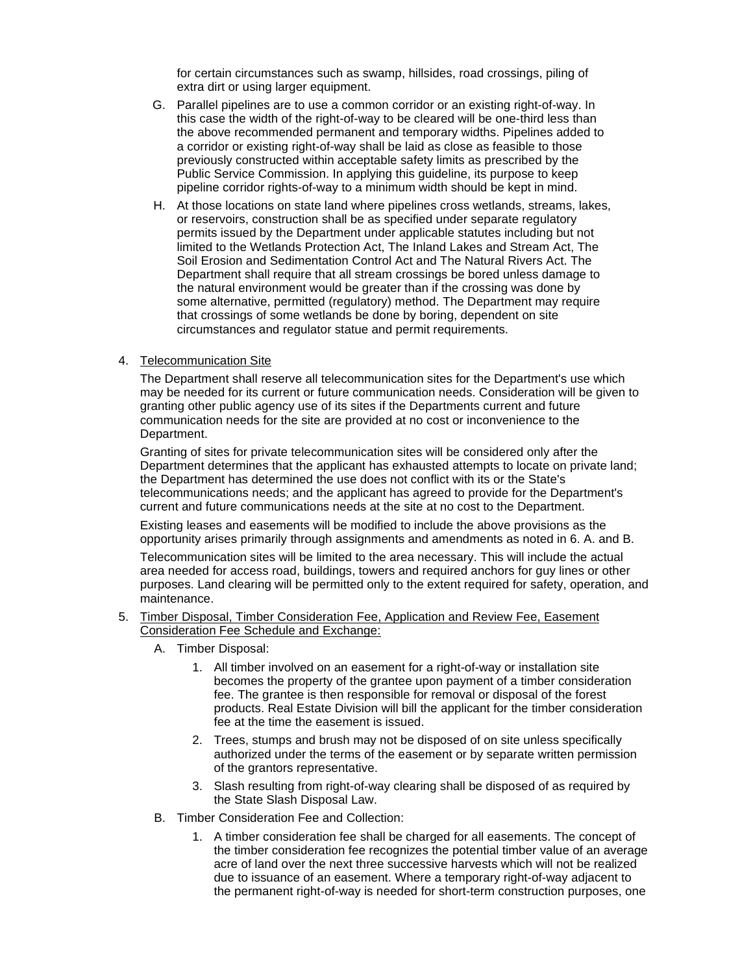for certain circumstances such as swamp, hillsides, road crossings, piling of extra dirt or using larger equipment.

- G. Parallel pipelines are to use a common corridor or an existing right-of-way. In this case the width of the right-of-way to be cleared will be one-third less than the above recommended permanent and temporary widths. Pipelines added to a corridor or existing right-of-way shall be laid as close as feasible to those previously constructed within acceptable safety limits as prescribed by the Public Service Commission. In applying this guideline, its purpose to keep pipeline corridor rights-of-way to a minimum width should be kept in mind.
- H. At those locations on state land where pipelines cross wetlands, streams, lakes, or reservoirs, construction shall be as specified under separate regulatory permits issued by the Department under applicable statutes including but not limited to the Wetlands Protection Act, The Inland Lakes and Stream Act, The Soil Erosion and Sedimentation Control Act and The Natural Rivers Act. The Department shall require that all stream crossings be bored unless damage to the natural environment would be greater than if the crossing was done by some alternative, permitted (regulatory) method. The Department may require that crossings of some wetlands be done by boring, dependent on site circumstances and regulator statue and permit requirements.

#### 4. Telecommunication Site

The Department shall reserve all telecommunication sites for the Department's use which may be needed for its current or future communication needs. Consideration will be given to granting other public agency use of its sites if the Departments current and future communication needs for the site are provided at no cost or inconvenience to the Department.

Granting of sites for private telecommunication sites will be considered only after the Department determines that the applicant has exhausted attempts to locate on private land; the Department has determined the use does not conflict with its or the State's telecommunications needs; and the applicant has agreed to provide for the Department's current and future communications needs at the site at no cost to the Department.

Existing leases and easements will be modified to include the above provisions as the opportunity arises primarily through assignments and amendments as noted in 6. A. and B.

Telecommunication sites will be limited to the area necessary. This will include the actual area needed for access road, buildings, towers and required anchors for guy lines or other purposes. Land clearing will be permitted only to the extent required for safety, operation, and maintenance.

#### 5. Timber Disposal, Timber Consideration Fee, Application and Review Fee, Easement Consideration Fee Schedule and Exchange:

- A. Timber Disposal:
	- 1. All timber involved on an easement for a right-of-way or installation site becomes the property of the grantee upon payment of a timber consideration fee. The grantee is then responsible for removal or disposal of the forest products. Real Estate Division will bill the applicant for the timber consideration fee at the time the easement is issued.
	- 2. Trees, stumps and brush may not be disposed of on site unless specifically authorized under the terms of the easement or by separate written permission of the grantors representative.
	- 3. Slash resulting from right-of-way clearing shall be disposed of as required by the State Slash Disposal Law.
- B. Timber Consideration Fee and Collection:
	- 1. A timber consideration fee shall be charged for all easements. The concept of the timber consideration fee recognizes the potential timber value of an average acre of land over the next three successive harvests which will not be realized due to issuance of an easement. Where a temporary right-of-way adjacent to the permanent right-of-way is needed for short-term construction purposes, one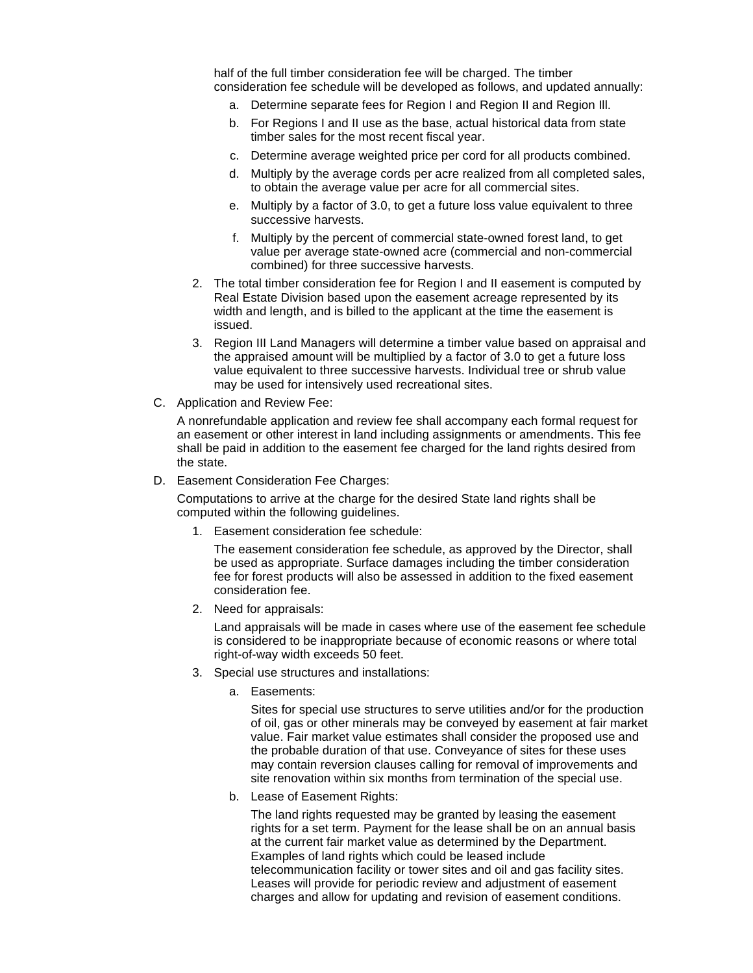half of the full timber consideration fee will be charged. The timber consideration fee schedule will be developed as follows, and updated annually:

- a. Determine separate fees for Region I and Region II and Region Ill.
- b. For Regions I and II use as the base, actual historical data from state timber sales for the most recent fiscal year.
- c. Determine average weighted price per cord for all products combined.
- d. Multiply by the average cords per acre realized from all completed sales, to obtain the average value per acre for all commercial sites.
- e. Multiply by a factor of 3.0, to get a future loss value equivalent to three successive harvests.
- f. Multiply by the percent of commercial state-owned forest land, to get value per average state-owned acre (commercial and non-commercial combined) for three successive harvests.
- 2. The total timber consideration fee for Region I and II easement is computed by Real Estate Division based upon the easement acreage represented by its width and length, and is billed to the applicant at the time the easement is issued.
- 3. Region III Land Managers will determine a timber value based on appraisal and the appraised amount will be multiplied by a factor of 3.0 to get a future loss value equivalent to three successive harvests. Individual tree or shrub value may be used for intensively used recreational sites.
- C. Application and Review Fee:

A nonrefundable application and review fee shall accompany each formal request for an easement or other interest in land including assignments or amendments. This fee shall be paid in addition to the easement fee charged for the land rights desired from the state.

D. Easement Consideration Fee Charges:

Computations to arrive at the charge for the desired State land rights shall be computed within the following guidelines.

1. Easement consideration fee schedule:

The easement consideration fee schedule, as approved by the Director, shall be used as appropriate. Surface damages including the timber consideration fee for forest products will also be assessed in addition to the fixed easement consideration fee.

2. Need for appraisals:

Land appraisals will be made in cases where use of the easement fee schedule is considered to be inappropriate because of economic reasons or where total right-of-way width exceeds 50 feet.

- 3. Special use structures and installations:
	- a. Easements:

Sites for special use structures to serve utilities and/or for the production of oil, gas or other minerals may be conveyed by easement at fair market value. Fair market value estimates shall consider the proposed use and the probable duration of that use. Conveyance of sites for these uses may contain reversion clauses calling for removal of improvements and site renovation within six months from termination of the special use.

b. Lease of Easement Rights:

The land rights requested may be granted by leasing the easement rights for a set term. Payment for the lease shall be on an annual basis at the current fair market value as determined by the Department. Examples of land rights which could be leased include telecommunication facility or tower sites and oil and gas facility sites. Leases will provide for periodic review and adjustment of easement charges and allow for updating and revision of easement conditions.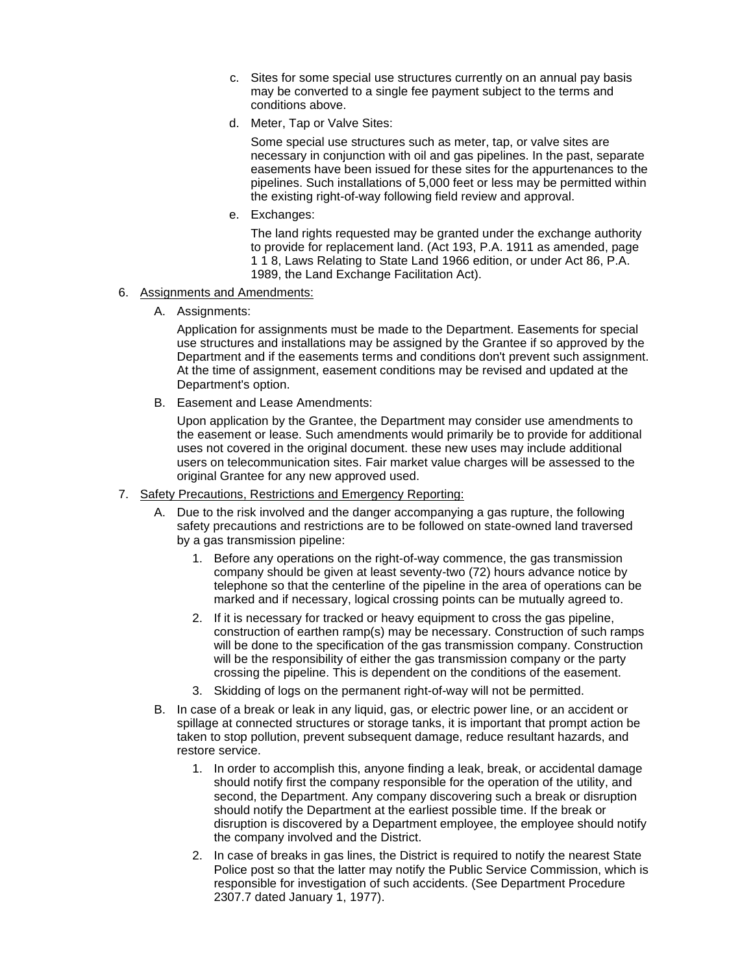- c. Sites for some special use structures currently on an annual pay basis may be converted to a single fee payment subject to the terms and conditions above.
- d. Meter, Tap or Valve Sites:

Some special use structures such as meter, tap, or valve sites are necessary in conjunction with oil and gas pipelines. In the past, separate easements have been issued for these sites for the appurtenances to the pipelines. Such installations of 5,000 feet or less may be permitted within the existing right-of-way following field review and approval.

e. Exchanges:

The land rights requested may be granted under the exchange authority to provide for replacement land. (Act 193, P.A. 1911 as amended, page 1 1 8, Laws Relating to State Land 1966 edition, or under Act 86, P.A. 1989, the Land Exchange Facilitation Act).

- 6. Assignments and Amendments:
	- A. Assignments:

Application for assignments must be made to the Department. Easements for special use structures and installations may be assigned by the Grantee if so approved by the Department and if the easements terms and conditions don't prevent such assignment. At the time of assignment, easement conditions may be revised and updated at the Department's option.

B. Easement and Lease Amendments:

Upon application by the Grantee, the Department may consider use amendments to the easement or lease. Such amendments would primarily be to provide for additional uses not covered in the original document. these new uses may include additional users on telecommunication sites. Fair market value charges will be assessed to the original Grantee for any new approved used.

- 7. Safety Precautions, Restrictions and Emergency Reporting:
	- A. Due to the risk involved and the danger accompanying a gas rupture, the following safety precautions and restrictions are to be followed on state-owned land traversed by a gas transmission pipeline:
		- 1. Before any operations on the right-of-way commence, the gas transmission company should be given at least seventy-two (72) hours advance notice by telephone so that the centerline of the pipeline in the area of operations can be marked and if necessary, logical crossing points can be mutually agreed to.
		- 2. If it is necessary for tracked or heavy equipment to cross the gas pipeline, construction of earthen ramp(s) may be necessary. Construction of such ramps will be done to the specification of the gas transmission company. Construction will be the responsibility of either the gas transmission company or the party crossing the pipeline. This is dependent on the conditions of the easement.
		- 3. Skidding of logs on the permanent right-of-way will not be permitted.
	- B. In case of a break or leak in any liquid, gas, or electric power line, or an accident or spillage at connected structures or storage tanks, it is important that prompt action be taken to stop pollution, prevent subsequent damage, reduce resultant hazards, and restore service.
		- 1. In order to accomplish this, anyone finding a leak, break, or accidental damage should notify first the company responsible for the operation of the utility, and second, the Department. Any company discovering such a break or disruption should notify the Department at the earliest possible time. If the break or disruption is discovered by a Department employee, the employee should notify the company involved and the District.
		- 2. In case of breaks in gas lines, the District is required to notify the nearest State Police post so that the latter may notify the Public Service Commission, which is responsible for investigation of such accidents. (See Department Procedure 2307.7 dated January 1, 1977).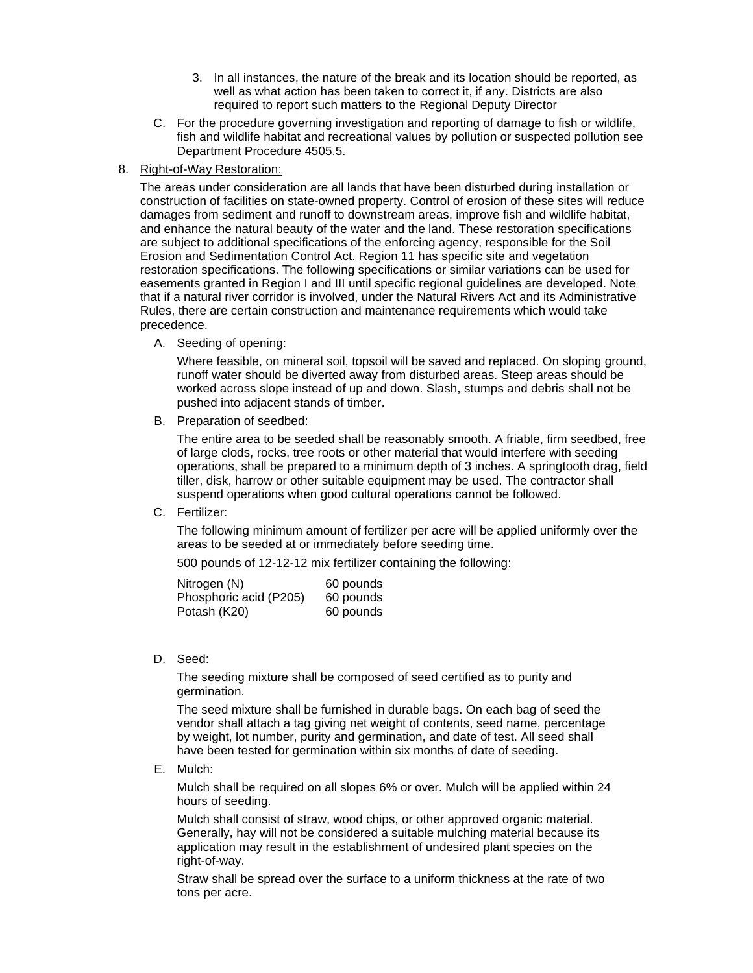- 3. In all instances, the nature of the break and its location should be reported, as well as what action has been taken to correct it, if any. Districts are also required to report such matters to the Regional Deputy Director
- C. For the procedure governing investigation and reporting of damage to fish or wildlife, fish and wildlife habitat and recreational values by pollution or suspected pollution see Department Procedure 4505.5.
- 8. Right-of-Way Restoration:

The areas under consideration are all lands that have been disturbed during installation or construction of facilities on state-owned property. Control of erosion of these sites will reduce damages from sediment and runoff to downstream areas, improve fish and wildlife habitat, and enhance the natural beauty of the water and the land. These restoration specifications are subject to additional specifications of the enforcing agency, responsible for the Soil Erosion and Sedimentation Control Act. Region 11 has specific site and vegetation restoration specifications. The following specifications or similar variations can be used for easements granted in Region I and III until specific regional guidelines are developed. Note that if a natural river corridor is involved, under the Natural Rivers Act and its Administrative Rules, there are certain construction and maintenance requirements which would take precedence.

A. Seeding of opening:

Where feasible, on mineral soil, topsoil will be saved and replaced. On sloping ground, runoff water should be diverted away from disturbed areas. Steep areas should be worked across slope instead of up and down. Slash, stumps and debris shall not be pushed into adjacent stands of timber.

B. Preparation of seedbed:

The entire area to be seeded shall be reasonably smooth. A friable, firm seedbed, free of large clods, rocks, tree roots or other material that would interfere with seeding operations, shall be prepared to a minimum depth of 3 inches. A springtooth drag, field tiller, disk, harrow or other suitable equipment may be used. The contractor shall suspend operations when good cultural operations cannot be followed.

C. Fertilizer:

The following minimum amount of fertilizer per acre will be applied uniformly over the areas to be seeded at or immediately before seeding time.

500 pounds of 12-12-12 mix fertilizer containing the following:

| Nitrogen (N)           | 60 pounds |
|------------------------|-----------|
| Phosphoric acid (P205) | 60 pounds |
| Potash (K20)           | 60 pounds |

D. Seed:

The seeding mixture shall be composed of seed certified as to purity and germination.

The seed mixture shall be furnished in durable bags. On each bag of seed the vendor shall attach a tag giving net weight of contents, seed name, percentage by weight, lot number, purity and germination, and date of test. All seed shall have been tested for germination within six months of date of seeding.

E. Mulch:

Mulch shall be required on all slopes 6% or over. Mulch will be applied within 24 hours of seeding.

Mulch shall consist of straw, wood chips, or other approved organic material. Generally, hay will not be considered a suitable mulching material because its application may result in the establishment of undesired plant species on the right-of-way.

Straw shall be spread over the surface to a uniform thickness at the rate of two tons per acre.